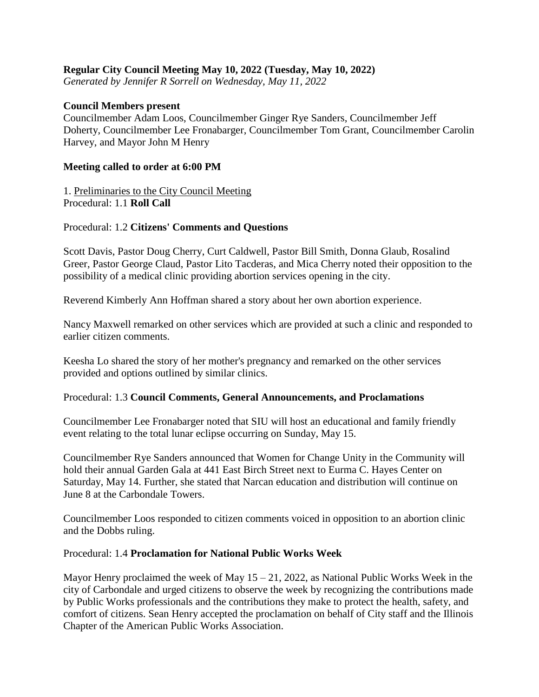## **Regular City Council Meeting May 10, 2022 (Tuesday, May 10, 2022)**

*Generated by Jennifer R Sorrell on Wednesday, May 11, 2022*

#### **Council Members present**

Councilmember Adam Loos, Councilmember Ginger Rye Sanders, Councilmember Jeff Doherty, Councilmember Lee Fronabarger, Councilmember Tom Grant, Councilmember Carolin Harvey, and Mayor John M Henry

#### **Meeting called to order at 6:00 PM**

1. Preliminaries to the City Council Meeting Procedural: 1.1 **Roll Call**

#### Procedural: 1.2 **Citizens' Comments and Questions**

Scott Davis, Pastor Doug Cherry, Curt Caldwell, Pastor Bill Smith, Donna Glaub, Rosalind Greer, Pastor George Claud, Pastor Lito Tacderas, and Mica Cherry noted their opposition to the possibility of a medical clinic providing abortion services opening in the city.

Reverend Kimberly Ann Hoffman shared a story about her own abortion experience.

Nancy Maxwell remarked on other services which are provided at such a clinic and responded to earlier citizen comments.

Keesha Lo shared the story of her mother's pregnancy and remarked on the other services provided and options outlined by similar clinics.

#### Procedural: 1.3 **Council Comments, General Announcements, and Proclamations**

Councilmember Lee Fronabarger noted that SIU will host an educational and family friendly event relating to the total lunar eclipse occurring on Sunday, May 15.

Councilmember Rye Sanders announced that Women for Change Unity in the Community will hold their annual Garden Gala at 441 East Birch Street next to Eurma C. Hayes Center on Saturday, May 14. Further, she stated that Narcan education and distribution will continue on June 8 at the Carbondale Towers.

Councilmember Loos responded to citizen comments voiced in opposition to an abortion clinic and the Dobbs ruling.

#### Procedural: 1.4 **Proclamation for National Public Works Week**

Mayor Henry proclaimed the week of May  $15 - 21$ , 2022, as National Public Works Week in the city of Carbondale and urged citizens to observe the week by recognizing the contributions made by Public Works professionals and the contributions they make to protect the health, safety, and comfort of citizens. Sean Henry accepted the proclamation on behalf of City staff and the Illinois Chapter of the American Public Works Association.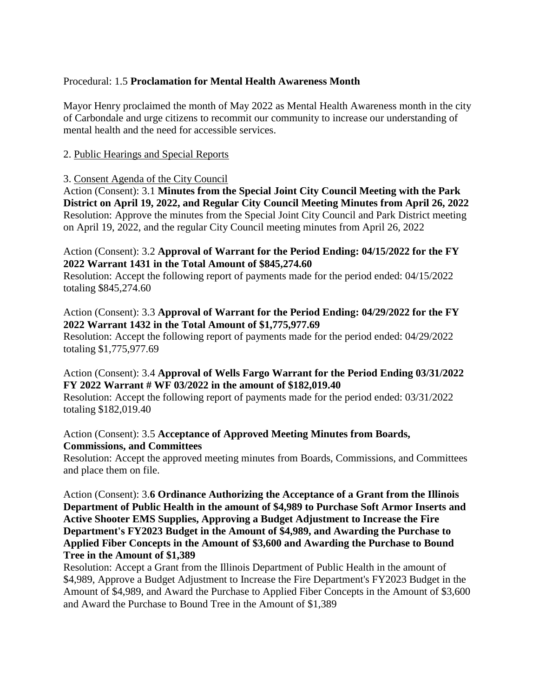## Procedural: 1.5 **Proclamation for Mental Health Awareness Month**

Mayor Henry proclaimed the month of May 2022 as Mental Health Awareness month in the city of Carbondale and urge citizens to recommit our community to increase our understanding of mental health and the need for accessible services.

# 2. Public Hearings and Special Reports

#### 3. Consent Agenda of the City Council

Action (Consent): 3.1 **Minutes from the Special Joint City Council Meeting with the Park District on April 19, 2022, and Regular City Council Meeting Minutes from April 26, 2022** Resolution: Approve the minutes from the Special Joint City Council and Park District meeting on April 19, 2022, and the regular City Council meeting minutes from April 26, 2022

## Action (Consent): 3.2 **Approval of Warrant for the Period Ending: 04/15/2022 for the FY 2022 Warrant 1431 in the Total Amount of \$845,274.60**

Resolution: Accept the following report of payments made for the period ended: 04/15/2022 totaling \$845,274.60

# Action (Consent): 3.3 **Approval of Warrant for the Period Ending: 04/29/2022 for the FY 2022 Warrant 1432 in the Total Amount of \$1,775,977.69**

Resolution: Accept the following report of payments made for the period ended: 04/29/2022 totaling \$1,775,977.69

# Action (Consent): 3.4 **Approval of Wells Fargo Warrant for the Period Ending 03/31/2022 FY 2022 Warrant # WF 03/2022 in the amount of \$182,019.40**

Resolution: Accept the following report of payments made for the period ended: 03/31/2022 totaling \$182,019.40

# Action (Consent): 3.5 **Acceptance of Approved Meeting Minutes from Boards, Commissions, and Committees**

Resolution: Accept the approved meeting minutes from Boards, Commissions, and Committees and place them on file.

## Action (Consent): 3.**6 Ordinance Authorizing the Acceptance of a Grant from the Illinois Department of Public Health in the amount of \$4,989 to Purchase Soft Armor Inserts and Active Shooter EMS Supplies, Approving a Budget Adjustment to Increase the Fire Department's FY2023 Budget in the Amount of \$4,989, and Awarding the Purchase to Applied Fiber Concepts in the Amount of \$3,600 and Awarding the Purchase to Bound Tree in the Amount of \$1,389**

Resolution: Accept a Grant from the Illinois Department of Public Health in the amount of \$4,989, Approve a Budget Adjustment to Increase the Fire Department's FY2023 Budget in the Amount of \$4,989, and Award the Purchase to Applied Fiber Concepts in the Amount of \$3,600 and Award the Purchase to Bound Tree in the Amount of \$1,389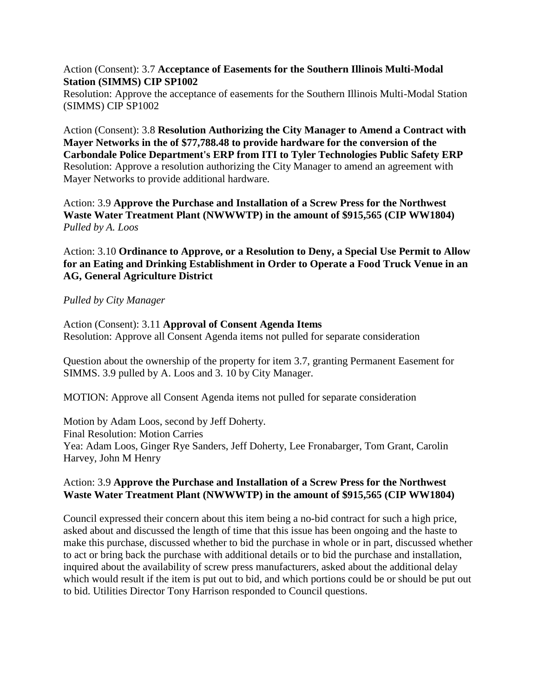### Action (Consent): 3.7 **Acceptance of Easements for the Southern Illinois Multi-Modal Station (SIMMS) CIP SP1002**

Resolution: Approve the acceptance of easements for the Southern Illinois Multi-Modal Station (SIMMS) CIP SP1002

Action (Consent): 3.8 **Resolution Authorizing the City Manager to Amend a Contract with Mayer Networks in the of \$77,788.48 to provide hardware for the conversion of the Carbondale Police Department's ERP from ITI to Tyler Technologies Public Safety ERP** Resolution: Approve a resolution authorizing the City Manager to amend an agreement with Mayer Networks to provide additional hardware.

Action: 3.9 **Approve the Purchase and Installation of a Screw Press for the Northwest Waste Water Treatment Plant (NWWWTP) in the amount of \$915,565 (CIP WW1804)** *Pulled by A. Loos*

Action: 3.10 **Ordinance to Approve, or a Resolution to Deny, a Special Use Permit to Allow for an Eating and Drinking Establishment in Order to Operate a Food Truck Venue in an AG, General Agriculture District**

#### *Pulled by City Manager*

Action (Consent): 3.11 **Approval of Consent Agenda Items** Resolution: Approve all Consent Agenda items not pulled for separate consideration

Question about the ownership of the property for item 3.7, granting Permanent Easement for SIMMS. 3.9 pulled by A. Loos and 3. 10 by City Manager.

MOTION: Approve all Consent Agenda items not pulled for separate consideration

Motion by Adam Loos, second by Jeff Doherty. Final Resolution: Motion Carries Yea: Adam Loos, Ginger Rye Sanders, Jeff Doherty, Lee Fronabarger, Tom Grant, Carolin Harvey, John M Henry

## Action: 3.9 **Approve the Purchase and Installation of a Screw Press for the Northwest Waste Water Treatment Plant (NWWWTP) in the amount of \$915,565 (CIP WW1804)**

Council expressed their concern about this item being a no-bid contract for such a high price, asked about and discussed the length of time that this issue has been ongoing and the haste to make this purchase, discussed whether to bid the purchase in whole or in part, discussed whether to act or bring back the purchase with additional details or to bid the purchase and installation, inquired about the availability of screw press manufacturers, asked about the additional delay which would result if the item is put out to bid, and which portions could be or should be put out to bid. Utilities Director Tony Harrison responded to Council questions.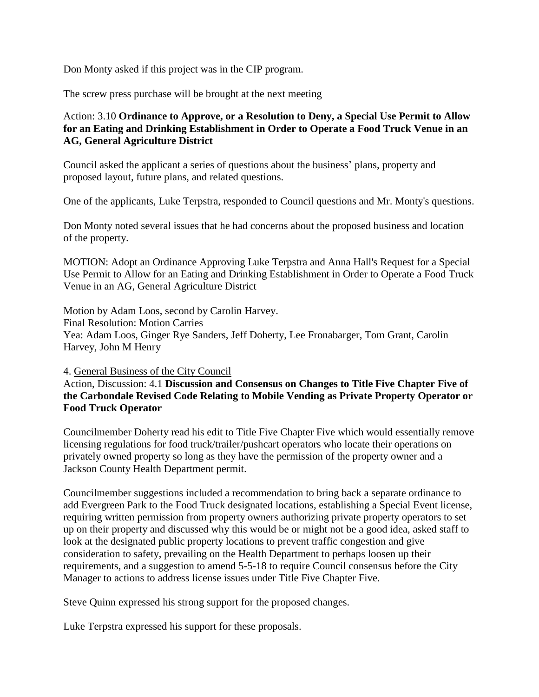Don Monty asked if this project was in the CIP program.

The screw press purchase will be brought at the next meeting

# Action: 3.10 **Ordinance to Approve, or a Resolution to Deny, a Special Use Permit to Allow for an Eating and Drinking Establishment in Order to Operate a Food Truck Venue in an AG, General Agriculture District**

Council asked the applicant a series of questions about the business' plans, property and proposed layout, future plans, and related questions.

One of the applicants, Luke Terpstra, responded to Council questions and Mr. Monty's questions.

Don Monty noted several issues that he had concerns about the proposed business and location of the property.

MOTION: Adopt an Ordinance Approving Luke Terpstra and Anna Hall's Request for a Special Use Permit to Allow for an Eating and Drinking Establishment in Order to Operate a Food Truck Venue in an AG, General Agriculture District

Motion by Adam Loos, second by Carolin Harvey. Final Resolution: Motion Carries Yea: Adam Loos, Ginger Rye Sanders, Jeff Doherty, Lee Fronabarger, Tom Grant, Carolin Harvey, John M Henry

4. General Business of the City Council

## Action, Discussion: 4.1 **Discussion and Consensus on Changes to Title Five Chapter Five of the Carbondale Revised Code Relating to Mobile Vending as Private Property Operator or Food Truck Operator**

Councilmember Doherty read his edit to Title Five Chapter Five which would essentially remove licensing regulations for food truck/trailer/pushcart operators who locate their operations on privately owned property so long as they have the permission of the property owner and a Jackson County Health Department permit.

Councilmember suggestions included a recommendation to bring back a separate ordinance to add Evergreen Park to the Food Truck designated locations, establishing a Special Event license, requiring written permission from property owners authorizing private property operators to set up on their property and discussed why this would be or might not be a good idea, asked staff to look at the designated public property locations to prevent traffic congestion and give consideration to safety, prevailing on the Health Department to perhaps loosen up their requirements, and a suggestion to amend 5-5-18 to require Council consensus before the City Manager to actions to address license issues under Title Five Chapter Five.

Steve Quinn expressed his strong support for the proposed changes.

Luke Terpstra expressed his support for these proposals.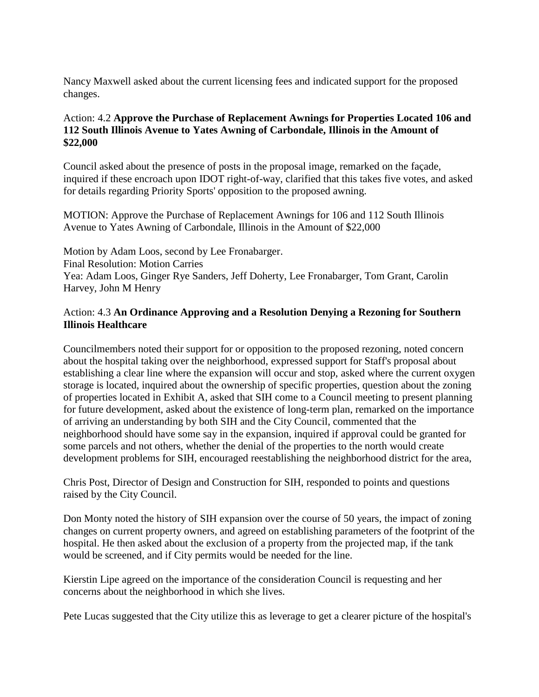Nancy Maxwell asked about the current licensing fees and indicated support for the proposed changes.

# Action: 4.2 **Approve the Purchase of Replacement Awnings for Properties Located 106 and 112 South Illinois Avenue to Yates Awning of Carbondale, Illinois in the Amount of \$22,000**

Council asked about the presence of posts in the proposal image, remarked on the façade, inquired if these encroach upon IDOT right-of-way, clarified that this takes five votes, and asked for details regarding Priority Sports' opposition to the proposed awning.

MOTION: Approve the Purchase of Replacement Awnings for 106 and 112 South Illinois Avenue to Yates Awning of Carbondale, Illinois in the Amount of \$22,000

Motion by Adam Loos, second by Lee Fronabarger. Final Resolution: Motion Carries Yea: Adam Loos, Ginger Rye Sanders, Jeff Doherty, Lee Fronabarger, Tom Grant, Carolin Harvey, John M Henry

# Action: 4.3 **An Ordinance Approving and a Resolution Denying a Rezoning for Southern Illinois Healthcare**

Councilmembers noted their support for or opposition to the proposed rezoning, noted concern about the hospital taking over the neighborhood, expressed support for Staff's proposal about establishing a clear line where the expansion will occur and stop, asked where the current oxygen storage is located, inquired about the ownership of specific properties, question about the zoning of properties located in Exhibit A, asked that SIH come to a Council meeting to present planning for future development, asked about the existence of long-term plan, remarked on the importance of arriving an understanding by both SIH and the City Council, commented that the neighborhood should have some say in the expansion, inquired if approval could be granted for some parcels and not others, whether the denial of the properties to the north would create development problems for SIH, encouraged reestablishing the neighborhood district for the area,

Chris Post, Director of Design and Construction for SIH, responded to points and questions raised by the City Council.

Don Monty noted the history of SIH expansion over the course of 50 years, the impact of zoning changes on current property owners, and agreed on establishing parameters of the footprint of the hospital. He then asked about the exclusion of a property from the projected map, if the tank would be screened, and if City permits would be needed for the line.

Kierstin Lipe agreed on the importance of the consideration Council is requesting and her concerns about the neighborhood in which she lives.

Pete Lucas suggested that the City utilize this as leverage to get a clearer picture of the hospital's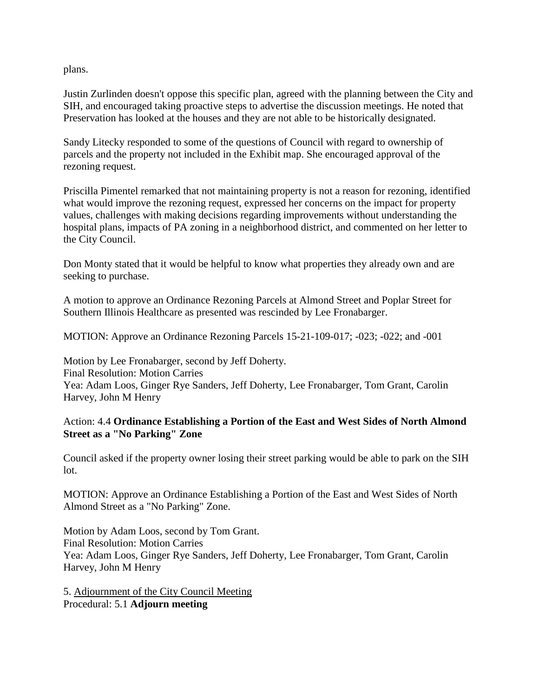plans.

Justin Zurlinden doesn't oppose this specific plan, agreed with the planning between the City and SIH, and encouraged taking proactive steps to advertise the discussion meetings. He noted that Preservation has looked at the houses and they are not able to be historically designated.

Sandy Litecky responded to some of the questions of Council with regard to ownership of parcels and the property not included in the Exhibit map. She encouraged approval of the rezoning request.

Priscilla Pimentel remarked that not maintaining property is not a reason for rezoning, identified what would improve the rezoning request, expressed her concerns on the impact for property values, challenges with making decisions regarding improvements without understanding the hospital plans, impacts of PA zoning in a neighborhood district, and commented on her letter to the City Council.

Don Monty stated that it would be helpful to know what properties they already own and are seeking to purchase.

A motion to approve an Ordinance Rezoning Parcels at Almond Street and Poplar Street for Southern Illinois Healthcare as presented was rescinded by Lee Fronabarger.

MOTION: Approve an Ordinance Rezoning Parcels 15-21-109-017; -023; -022; and -001

Motion by Lee Fronabarger, second by Jeff Doherty. Final Resolution: Motion Carries Yea: Adam Loos, Ginger Rye Sanders, Jeff Doherty, Lee Fronabarger, Tom Grant, Carolin Harvey, John M Henry

# Action: 4.4 **Ordinance Establishing a Portion of the East and West Sides of North Almond Street as a "No Parking" Zone**

Council asked if the property owner losing their street parking would be able to park on the SIH lot.

MOTION: Approve an Ordinance Establishing a Portion of the East and West Sides of North Almond Street as a "No Parking" Zone.

Motion by Adam Loos, second by Tom Grant. Final Resolution: Motion Carries Yea: Adam Loos, Ginger Rye Sanders, Jeff Doherty, Lee Fronabarger, Tom Grant, Carolin Harvey, John M Henry

5. Adjournment of the City Council Meeting Procedural: 5.1 **Adjourn meeting**